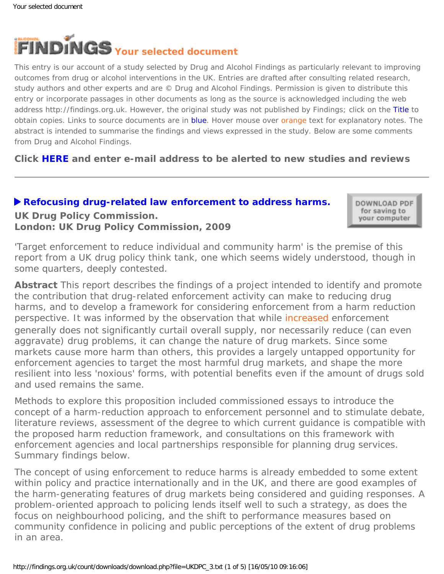<span id="page-0-0"></span>

This entry is our account of a study selected by Drug and Alcohol Findings as particularly relevant to improving outcomes from drug or alcohol interventions in the UK. Entries are drafted after consulting related research, study authors and other experts and are © Drug and Alcohol Findings. Permission is given to distribute this entry or incorporate passages in other documents as long as the source is acknowledged including the web address http://findings.org.uk. However, the original study was not published by Findings; click on the Title to obtain copies. Links to source documents are in blue. Hover mouse over orange text for explanatory notes. The abstract is intended to summarise the findings and views expressed in the study. Below are some comments from Drug and Alcohol Findings.

**Click [HERE](https://findings.org.uk/index.php#signUp) and enter e-mail address to be alerted to new studies and reviews**

## **[Refocusing drug-related law enforcement to address harms.](http://www.ukdpc.org.uk/publications.shtml#HRE_report) UK Drug Policy Commission. London: UK Drug Policy Commission, 2009**

DOWNLOAD PDF for saving to your computer

'Target enforcement to reduce individual and community harm' is the premise of this report from a UK drug policy think tank, one which seems widely understood, though in some quarters, deeply contested.

**Abstract** This report describes the findings of a project intended to identify and promote the contribution that drug-related enforcement activity can make to reducing drug harms, and to develop a framework for considering enforcement from a harm reduction perspective. It was informed by the observation that while [increased](#page-0-0) enforcement generally does not significantly curtail overall supply, nor necessarily reduce (can even aggravate) drug problems, it *can* change the nature of drug markets. Since some markets cause more harm than others, this provides a largely untapped opportunity for enforcement agencies to target the most harmful drug markets, and shape the more resilient into less 'noxious' forms, with potential benefits even if the amount of drugs sold and used remains the same.

Methods to explore this proposition included commissioned essays to introduce the concept of a harm-reduction approach to enforcement personnel and to stimulate debate, literature reviews, assessment of the degree to which current guidance is compatible with the proposed harm reduction framework, and consultations on this framework with enforcement agencies and local partnerships responsible for planning drug services. Summary findings below.

The concept of using enforcement to reduce harms is already embedded to some extent within policy and practice internationally and in the UK, and there are good examples of the harm-generating features of drug markets being considered and guiding responses. A problem-oriented approach to policing lends itself well to such a strategy, as does the focus on neighbourhood policing, and the shift to performance measures based on community confidence in policing and public perceptions of the extent of drug problems in an area.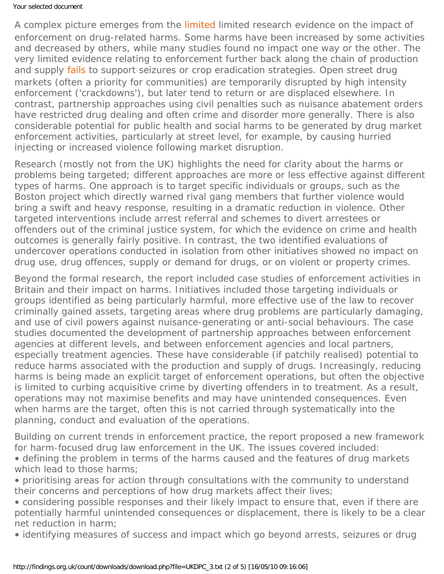### Your selected document

A complex picture emerges from the [limited](#page-0-0) limited research evidence on the impact of enforcement on drug-related harms. Some harms have been increased by some activities and decreased by others, while many studies found no impact one way or the other. The very limited evidence relating to enforcement further back along the chain of production and supply [fails](#page-0-0) to support seizures or crop eradication strategies. Open street drug markets (often a priority for communities) are temporarily disrupted by high intensity enforcement ('crackdowns'), but later tend to return or are displaced elsewhere. In contrast, partnership approaches using civil penalties such as nuisance abatement orders have restricted drug dealing and often crime and disorder more generally. There is also considerable potential for public health and social harms to be generated by drug market enforcement activities, particularly at street level, for example, by causing hurried injecting or increased violence following market disruption.

Research (mostly not from the UK) highlights the need for clarity about the harms or problems being targeted; different approaches are more or less effective against different types of harms. One approach is to target specific individuals or groups, such as the Boston project which directly warned rival gang members that further violence would bring a swift and heavy response, resulting in a dramatic reduction in violence. Other targeted interventions include arrest referral and schemes to divert arrestees or offenders out of the criminal justice system, for which the evidence on crime and health outcomes is generally fairly positive. In contrast, the two identified evaluations of undercover operations conducted in isolation from other initiatives showed no impact on drug use, drug offences, supply or demand for drugs, or on violent or property crimes.

Beyond the formal research, the report included case studies of enforcement activities in Britain and their impact on harms. Initiatives included those targeting individuals or groups identified as being particularly harmful, more effective use of the law to recover criminally gained assets, targeting areas where drug problems are particularly damaging, and use of civil powers against nuisance-generating or anti-social behaviours. The case studies documented the development of partnership approaches between enforcement agencies at different levels, and between enforcement agencies and local partners, especially treatment agencies. These have considerable (if patchily realised) potential to reduce harms associated with the production and supply of drugs. Increasingly, reducing harms is being made an explicit target of enforcement operations, but often the objective is limited to curbing acquisitive crime by diverting offenders in to treatment. As a result, operations may not maximise benefits and may have unintended consequences. Even when harms are the target, often this is not carried through systematically into the planning, conduct and evaluation of the operations.

Building on current trends in enforcement practice, the report proposed a new framework for harm-focused drug law enforcement in the UK. The issues covered included:

- defining the problem in terms of the harms caused and the features of drug markets which lead to those harms;
- prioritising areas for action through consultations with the community to understand their concerns and perceptions of how drug markets affect their lives;
- considering possible responses and their likely impact to ensure that, even if there are potentially harmful unintended consequences or displacement, there is likely to be a clear net reduction in harm;

• identifying measures of success and impact which go beyond arrests, seizures or drug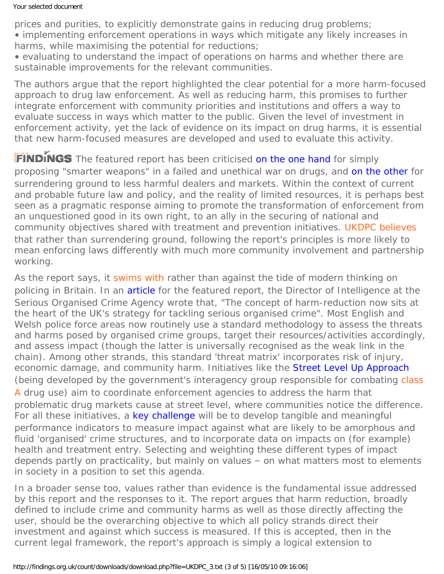#### Your selected document

prices and purities, to explicitly demonstrate gains in reducing drug problems; • implementing enforcement operations in ways which mitigate any likely increases in harms, while maximising the potential for reductions;

• evaluating to understand the impact of operations on harms and whether there are sustainable improvements for the relevant communities.

The authors argue that the report highlighted the clear potential for a more harm-focused approach to drug law enforcement. As well as reducing harm, this promises to further integrate enforcement with community priorities and institutions and offers a way to evaluate success in ways which matter to the public. Given the level of investment in enforcement activity, yet the lack of evidence on its impact on drug harms, it is essential that new harm-focused measures are developed and used to evaluate this activity.

FINDINGS The featured report has been criticised [on the one hand](http://transform-drugs.blogspot.com/2009/07/ukdpc-calls-for-tactical-strikes-in-war.html) for simply proposing "smarter weapons" in a failed and unethical war on drugs, and [on the other](http://www.drinkanddrugsnews.com/ViewIssue.aspx?mag_id=110) for surrendering ground to less harmful dealers and markets. Within the context of current and probable future law and policy, and the reality of limited resources, it is perhaps best seen as a pragmatic response aiming to promote the transformation of enforcement from an unquestioned good in its own right, to an ally in the securing of national and community objectives shared with treatment and prevention initiatives. [UKDPC believes](#page-0-0) that rather than surrendering ground, following the report's principles is more likely to mean enforcing laws differently with much more community involvement and partnership working.

As the report says, it [swims with](#page-0-0) rather than against the tide of modern thinking on policing in Britain. In an [article](http://www.ukdpc.org.uk/resources/Safer_Communities_Jan09_Special_Issue.pdf) for the featured report, the Director of Intelligence at the Serious Organised Crime Agency wrote that, "The concept of harm-reduction now sits at the heart of the UK's strategy for tackling serious organised crime". Most English and Welsh police force areas now routinely use a standard methodology to assess the threats and harms posed by organised crime groups, target their resources/activities accordingly, and assess impact (though the latter is universally recognised as the weak link in the chain). Among other strands, this standard 'threat matrix' incorporates risk of injury, economic damage, and community harm. Initiatives like the [Street Level Up Approach](http://www.polfed.org/1205p26street_life.pdf) (being developed by the government's interagency group responsible for combating [class](#page-0-0) [A](#page-0-0) drug use) aim to coordinate enforcement agencies to address the harm that problematic drug markets cause at street level, where communities notice the difference. For all these initiatives, a [key challenge](http://www.ukdpc.org.uk/resources/Safer_Communities_Jan09_Special_Issue.pdf) will be to develop tangible and meaningful performance indicators to measure impact against what are likely to be amorphous and fluid 'organised' crime structures, and to incorporate data on impacts on (for example) health and treatment entry. Selecting and weighting these different types of impact depends partly on practicality, but mainly on values – on what matters most to elements in society in a position to set this agenda.

In a broader sense too, values rather than evidence is the fundamental issue addressed by this report and the responses to it. The report argues that harm reduction, broadly defined to include crime and community harms as well as those directly affecting the user, should be the overarching objective to which all policy strands direct their investment and against which success is measured. If this is accepted, then in the current legal framework, the report's approach is simply a logical extension to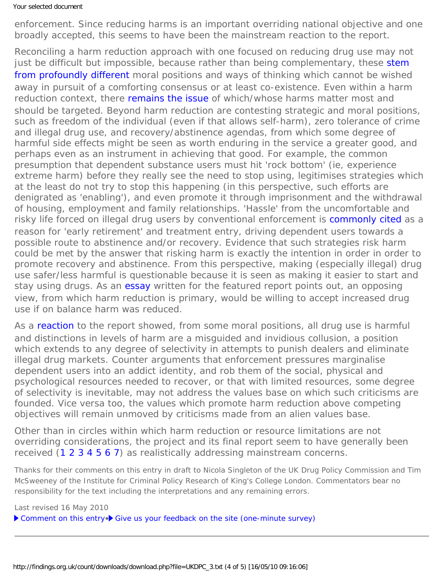#### Your selected document

enforcement. Since reducing harms is an important overriding national objective and one broadly accepted, this seems to have been the mainstream reaction to the report.

Reconciling a harm reduction approach with one focused on reducing drug use may not just be difficult but impossible, because rather than being complementary, these [stem](http://dx.doi.org/10.1016/j.drugpo.2009.02.011) [from profoundly different](http://dx.doi.org/10.1016/j.drugpo.2009.02.011) moral positions and ways of thinking which cannot be wished away in pursuit of a comforting consensus or at least co-existence. Even within a harm reduction context, there [remains the issue](http://dx.doi.org/10.1111/j.1360-0443.2008.02336.x) of which/whose harms matter most and should be targeted. Beyond harm reduction are contesting strategic and moral positions, such as freedom of the individual (even if that allows self-harm), zero tolerance of crime and illegal drug use, and recovery/abstinence agendas, from which some degree of harmful side effects might be seen as worth enduring in the service a greater good, and perhaps even as an instrument in achieving that good. For example, the common presumption that dependent substance users must hit 'rock bottom' (ie, experience extreme harm) before they really see the need to stop using, legitimises strategies which at the least do not try to stop this happening (in this perspective, such efforts are denigrated as 'enabling'), and even promote it through imprisonment and the withdrawal of housing, employment and family relationships. 'Hassle' from the uncomfortable and risky life forced on illegal drug users by conventional enforcement is [commonly cited](https://findings.org.uk/count/downloads/download.php?file=nugg_6_4.pdf) as a reason for 'early retirement' and treatment entry, driving dependent users towards a possible route to abstinence and/or recovery. Evidence that such strategies risk harm could be met by the answer that risking harm is exactly the intention in order in order to promote recovery and abstinence. From this perspective, making (especially illegal) drug use safer/less harmful is questionable because it is seen as making it easier to start and stay using drugs. As an [essay](http://www.ukdpc.org.uk/resources/Safer_Communities_Jan09_Special_Issue.pdf) written for the featured report points out, an opposing view, from which harm reduction is primary, would be willing to accept increased drug use if on balance harm was reduced.

As a [reaction](http://www.cps.org.uk/index.php?option=com_content&view=article&id=219:the-ukdpcs-smart-enforcement-proposals-amount-to-legalisation-by-the-back-door&catid=23:prisons-and-addiction&Itemid=42) to the report showed, from some moral positions, all drug use is harmful and distinctions in levels of harm are a misguided and invidious collusion, a position which extends to any degree of selectivity in attempts to punish dealers and eliminate illegal drug markets. Counter arguments that enforcement pressures marginalise dependent users into an addict identity, and rob them of the social, physical and psychological resources needed to recover, or that with limited resources, some degree of selectivity is inevitable, may not address the values base on which such criticisms are founded. Vice versa too, the values which promote harm reduction above competing objectives will remain unmoved by criticisms made from an alien values base.

Other than in circles within which harm reduction or resource limitations are not overriding considerations, the project and its final report seem to have generally been received ([1](http://www.ukdpc.org.uk/resources/Focus_drug_harms_press_release.pdf) [2](http://www.cps.org.uk/index.php?option=com_content&view=article&id=219:the-ukdpcs-smart-enforcement-proposals-amount-to-legalisation-by-the-back-door&catid=23:prisons-and-addiction&Itemid=42) [3](http://www.telegraph.co.uk/news/newstopics/politics/lawandorder/5933840/War-on-drugs-cannot-be-won-officers-claim.html) [4](http://news.bbc.co.uk/1/hi/uk/7531860.stm) [5](http://www.independent.co.uk/news/uk/crime/drugs-trade-crackdowns-are-failing-880529.html) [6](http://www.independent.co.uk/news/uk/crime/the-big-question-should-police-take-a-new-approach-to-drug-crime-by-relocating-dealers-1765236.html) [7\)](http://www.guardian.co.uk/society/2008/jul/30/drugsandalcohol.ukcrime) as realistically addressing mainstream concerns.

*Thanks for their comments on this entry in draft to Nicola Singleton of the UK Drug Policy Commission and Tim McSweeney of the Institute for Criminal Policy Research of King's College London. Commentators bear no responsibility for the text including the interpretations and any remaining errors.*

Last revised 16 May 2010

[Comment on this entry](mailto:editor@findings.org.uk?Subject=Findings%20entry:%20Refocusing%20drug-related%20law%20enforcement%20to%20address%20harms)•> [Give us your feedback on the site \(one-minute survey\)](http://www.surveymonkey.com/s/C2PX7D5)